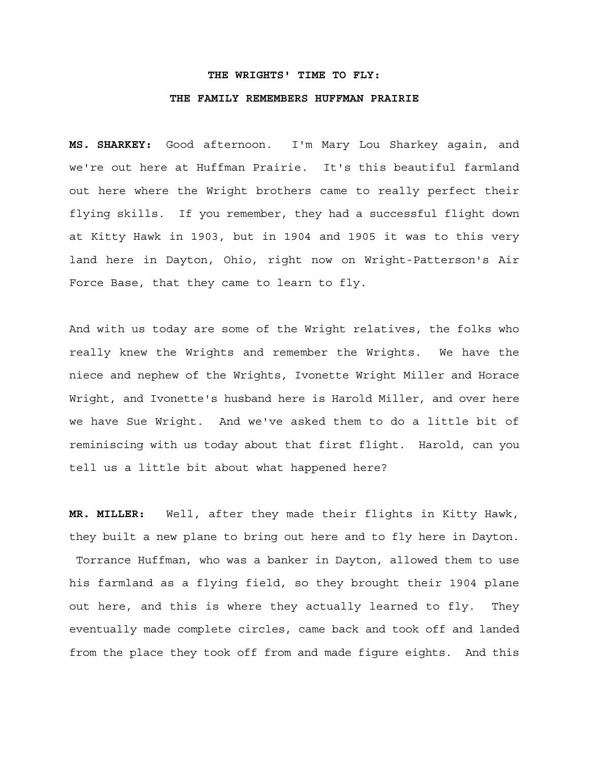### **THE WRIGHTS' TIME TO FLY:**

#### **THE FAMILY REMEMBERS HUFFMAN PRAIRIE**

**MS. SHARKEY:** Good afternoon. I'm Mary Lou Sharkey again, and we're out here at Huffman Prairie. It's this beautiful farmland out here where the Wright brothers came to really perfect their flying skills. If you remember, they had a successful flight down at Kitty Hawk in 1903, but in 1904 and 1905 it was to this very land here in Dayton, Ohio, right now on Wright-Patterson's Air Force Base, that they came to learn to fly.

And with us today are some of the Wright relatives, the folks who really knew the Wrights and remember the Wrights. We have the niece and nephew of the Wrights, Ivonette Wright Miller and Horace Wright, and Ivonette's husband here is Harold Miller, and over here we have Sue Wright. And we've asked them to do a little bit of reminiscing with us today about that first flight. Harold, can you tell us a little bit about what happened here?

**MR. MILLER:** Well, after they made their flights in Kitty Hawk, they built a new plane to bring out here and to fly here in Dayton. Torrance Huffman, who was a banker in Dayton, allowed them to use his farmland as a flying field, so they brought their 1904 plane out here, and this is where they actually learned to fly. They eventually made complete circles, came back and took off and landed from the place they took off from and made figure eights. And this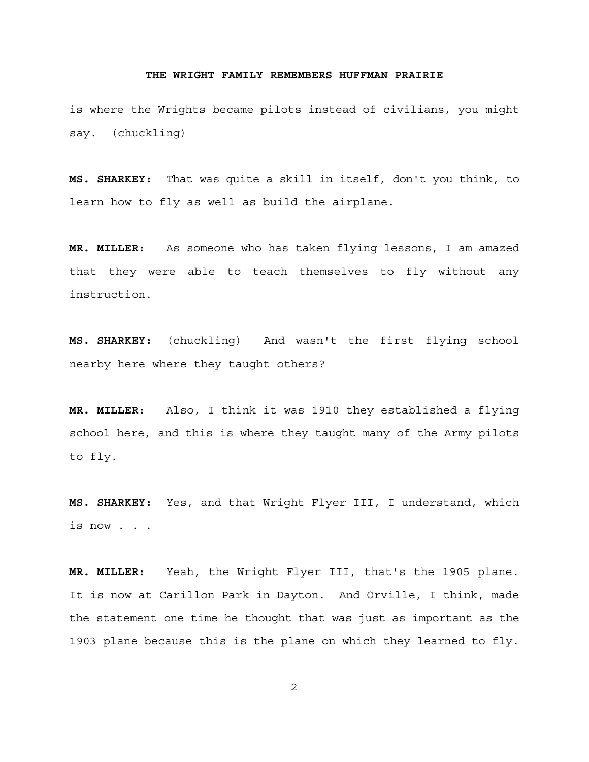is where the Wrights became pilots instead of civilians, you might say. (chuckling)

**MS. SHARKEY:** That was quite a skill in itself, don't you think, to learn how to fly as well as build the airplane.

**MR. MILLER:** As someone who has taken flying lessons, I am amazed that they were able to teach themselves to fly without any instruction.

**MS. SHARKEY:** (chuckling) And wasn't the first flying school nearby here where they taught others?

**MR. MILLER:** Also, I think it was 1910 they established a flying school here, and this is where they taught many of the Army pilots to fly.

**MS. SHARKEY:** Yes, and that Wright Flyer III, I understand, which is now . . .

**MR. MILLER:** Yeah, the Wright Flyer III, that's the 1905 plane. It is now at Carillon Park in Dayton. And Orville, I think, made the statement one time he thought that was just as important as the 1903 plane because this is the plane on which they learned to fly.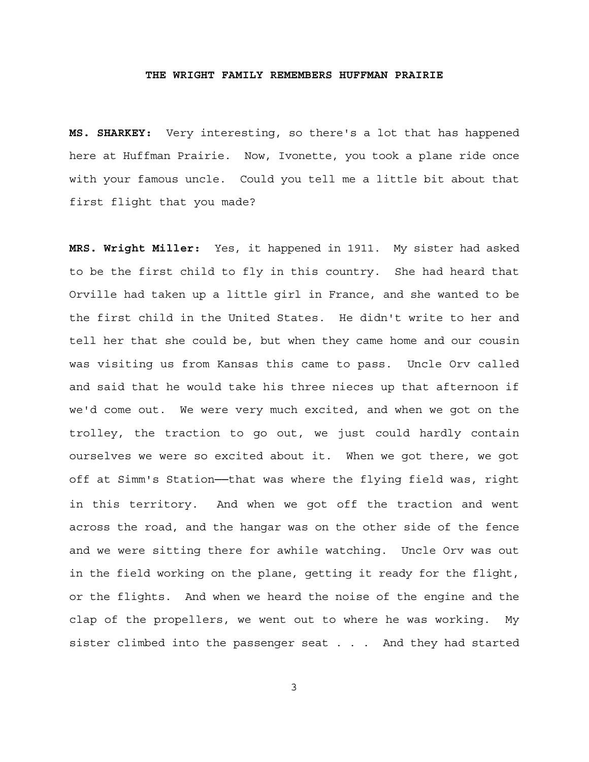**MS. SHARKEY:** Very interesting, so there's a lot that has happened here at Huffman Prairie. Now, Ivonette, you took a plane ride once with your famous uncle. Could you tell me a little bit about that first flight that you made?

**MRS. Wright Miller:** Yes, it happened in 1911. My sister had asked to be the first child to fly in this country. She had heard that Orville had taken up a little girl in France, and she wanted to be the first child in the United States. He didn't write to her and tell her that she could be, but when they came home and our cousin was visiting us from Kansas this came to pass. Uncle Orv called and said that he would take his three nieces up that afternoon if we'd come out. We were very much excited, and when we got on the trolley, the traction to go out, we just could hardly contain ourselves we were so excited about it. When we got there, we got off at Simm's Station──that was where the flying field was, right in this territory. And when we got off the traction and went across the road, and the hangar was on the other side of the fence and we were sitting there for awhile watching. Uncle Orv was out in the field working on the plane, getting it ready for the flight, or the flights. And when we heard the noise of the engine and the clap of the propellers, we went out to where he was working. My sister climbed into the passenger seat . . . And they had started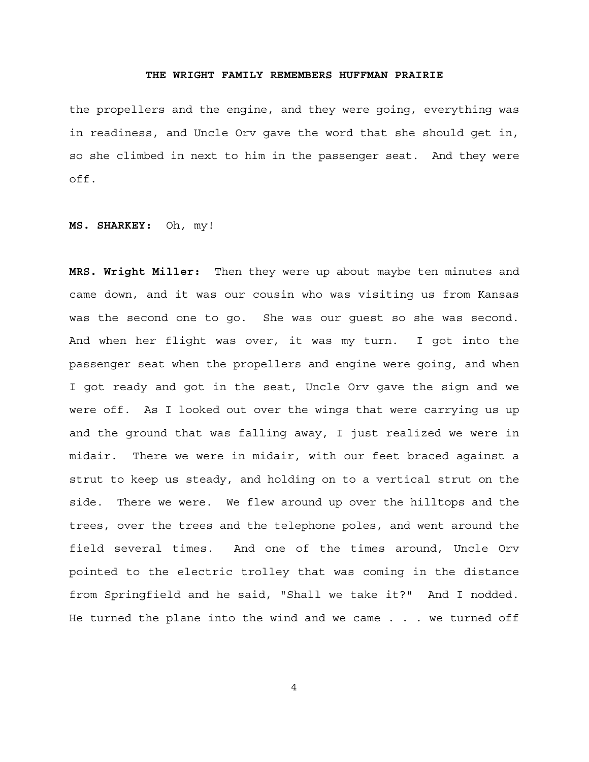the propellers and the engine, and they were going, everything was in readiness, and Uncle Orv gave the word that she should get in, so she climbed in next to him in the passenger seat. And they were off.

**MS. SHARKEY:** Oh, my!

**MRS. Wright Miller:** Then they were up about maybe ten minutes and came down, and it was our cousin who was visiting us from Kansas was the second one to go. She was our guest so she was second. And when her flight was over, it was my turn. I got into the passenger seat when the propellers and engine were going, and when I got ready and got in the seat, Uncle Orv gave the sign and we were off. As I looked out over the wings that were carrying us up and the ground that was falling away, I just realized we were in midair. There we were in midair, with our feet braced against a strut to keep us steady, and holding on to a vertical strut on the side. There we were. We flew around up over the hilltops and the trees, over the trees and the telephone poles, and went around the field several times. And one of the times around, Uncle Orv pointed to the electric trolley that was coming in the distance from Springfield and he said, "Shall we take it?" And I nodded. He turned the plane into the wind and we came . . . we turned off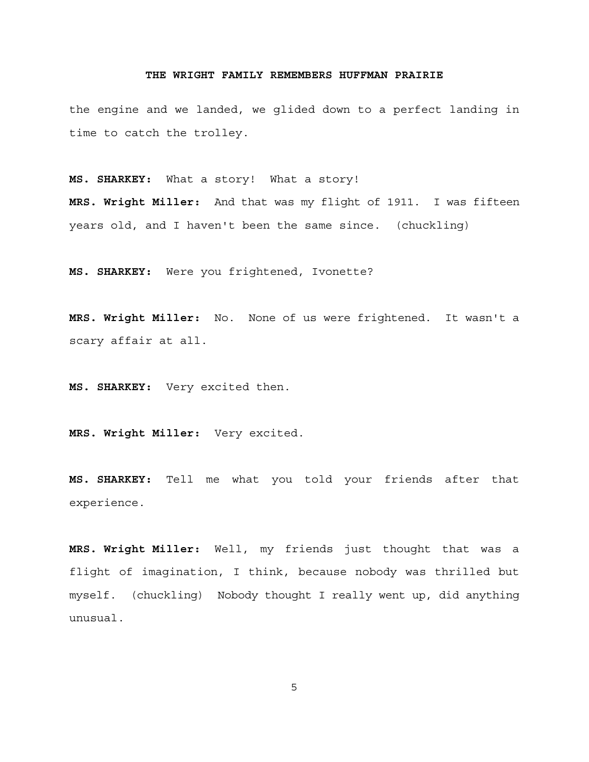the engine and we landed, we glided down to a perfect landing in time to catch the trolley.

**MS. SHARKEY:** What a story! What a story! **MRS. Wright Miller:** And that was my flight of 1911. I was fifteen years old, and I haven't been the same since. (chuckling)

**MS. SHARKEY:** Were you frightened, Ivonette?

**MRS. Wright Miller:** No. None of us were frightened. It wasn't a scary affair at all.

**MS. SHARKEY:** Very excited then.

**MRS. Wright Miller:** Very excited.

**MS. SHARKEY:** Tell me what you told your friends after that experience.

**MRS. Wright Miller:** Well, my friends just thought that was a flight of imagination, I think, because nobody was thrilled but myself. (chuckling) Nobody thought I really went up, did anything unusual.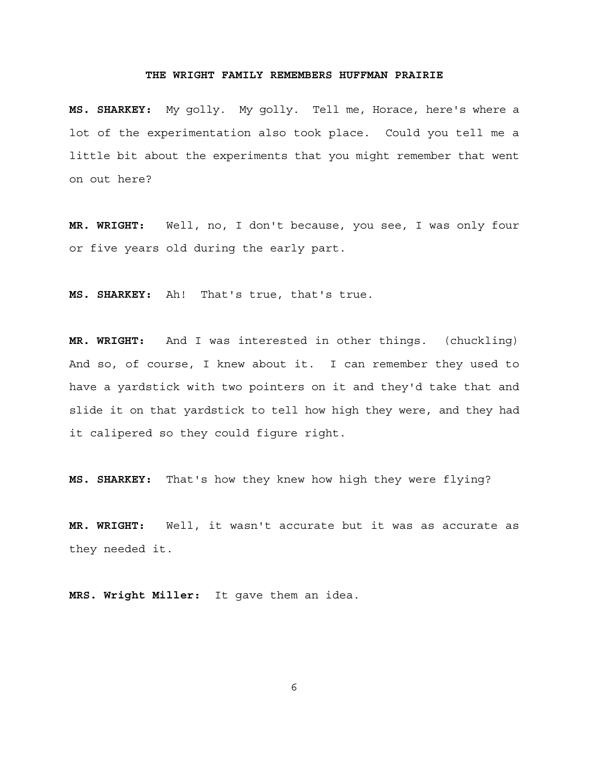**MS. SHARKEY:** My golly. My golly. Tell me, Horace, here's where a lot of the experimentation also took place. Could you tell me a little bit about the experiments that you might remember that went on out here?

**MR. WRIGHT:** Well, no, I don't because, you see, I was only four or five years old during the early part.

**MS. SHARKEY:** Ah! That's true, that's true.

**MR. WRIGHT:** And I was interested in other things. (chuckling) And so, of course, I knew about it. I can remember they used to have a yardstick with two pointers on it and they'd take that and slide it on that yardstick to tell how high they were, and they had it calipered so they could figure right.

**MS. SHARKEY:** That's how they knew how high they were flying?

**MR. WRIGHT:** Well, it wasn't accurate but it was as accurate as they needed it.

**MRS. Wright Miller:** It gave them an idea.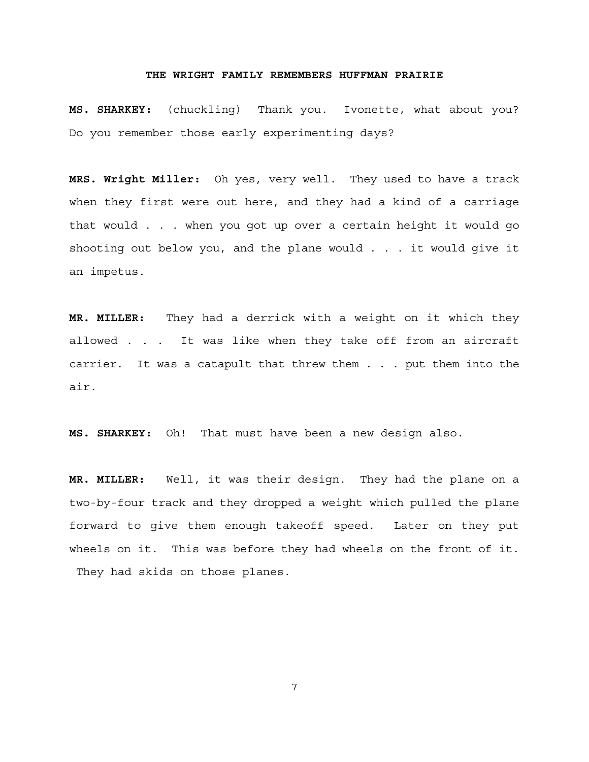**MS. SHARKEY:** (chuckling) Thank you. Ivonette, what about you? Do you remember those early experimenting days?

**MRS. Wright Miller:** Oh yes, very well. They used to have a track when they first were out here, and they had a kind of a carriage that would . . . when you got up over a certain height it would go shooting out below you, and the plane would . . . it would give it an impetus.

**MR. MILLER:** They had a derrick with a weight on it which they allowed . . . It was like when they take off from an aircraft carrier. It was a catapult that threw them . . . put them into the air.

**MS. SHARKEY:** Oh! That must have been a new design also.

**MR. MILLER:** Well, it was their design. They had the plane on a two-by-four track and they dropped a weight which pulled the plane forward to give them enough takeoff speed. Later on they put wheels on it. This was before they had wheels on the front of it. They had skids on those planes.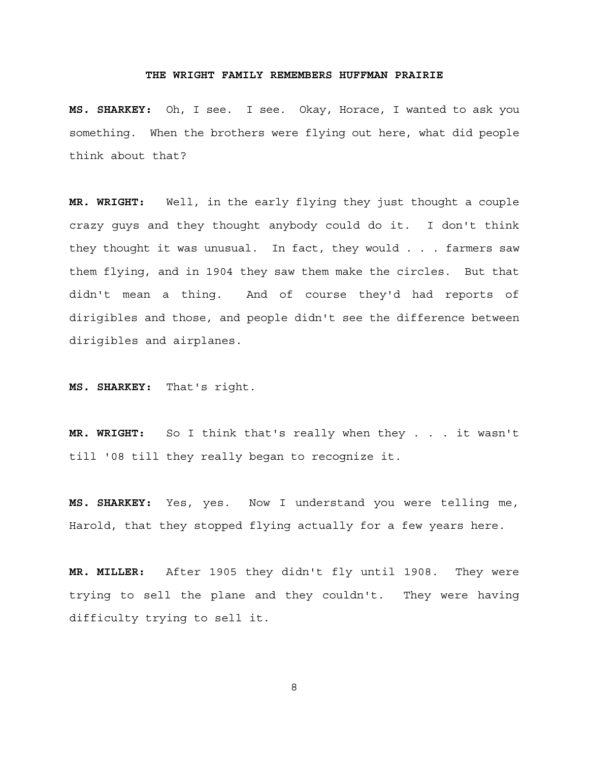**MS. SHARKEY:** Oh, I see. I see. Okay, Horace, I wanted to ask you something. When the brothers were flying out here, what did people think about that?

**MR. WRIGHT:** Well, in the early flying they just thought a couple crazy guys and they thought anybody could do it. I don't think they thought it was unusual. In fact, they would . . . farmers saw them flying, and in 1904 they saw them make the circles. But that didn't mean a thing. And of course they'd had reports of dirigibles and those, and people didn't see the difference between dirigibles and airplanes.

**MS. SHARKEY:** That's right.

**MR. WRIGHT:** So I think that's really when they . . . it wasn't till '08 till they really began to recognize it.

**MS. SHARKEY:** Yes, yes. Now I understand you were telling me, Harold, that they stopped flying actually for a few years here.

**MR. MILLER:** After 1905 they didn't fly until 1908. They were trying to sell the plane and they couldn't. They were having difficulty trying to sell it.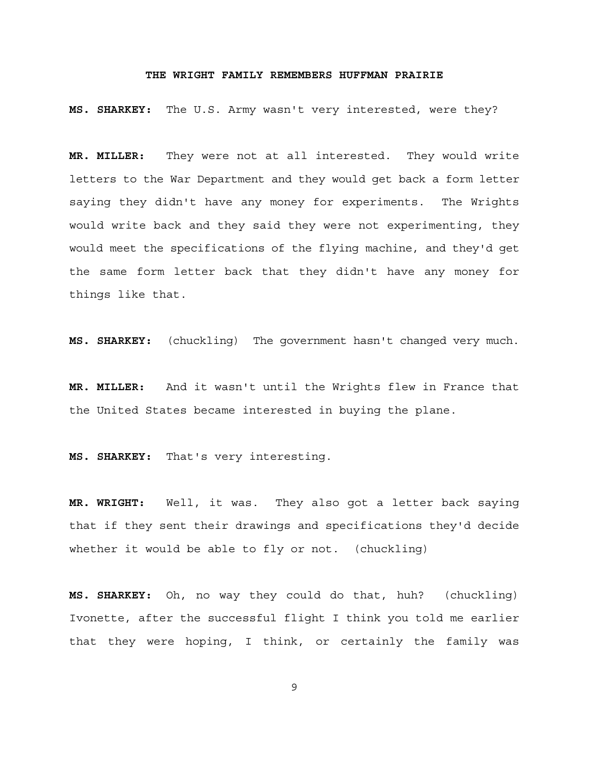**MS. SHARKEY:** The U.S. Army wasn't very interested, were they?

**MR. MILLER:** They were not at all interested. They would write letters to the War Department and they would get back a form letter saying they didn't have any money for experiments. The Wrights would write back and they said they were not experimenting, they would meet the specifications of the flying machine, and they'd get the same form letter back that they didn't have any money for things like that.

**MS. SHARKEY:** (chuckling) The government hasn't changed very much.

**MR. MILLER:** And it wasn't until the Wrights flew in France that the United States became interested in buying the plane.

**MS. SHARKEY:** That's very interesting.

**MR. WRIGHT:** Well, it was. They also got a letter back saying that if they sent their drawings and specifications they'd decide whether it would be able to fly or not. (chuckling)

**MS. SHARKEY:** Oh, no way they could do that, huh? (chuckling) Ivonette, after the successful flight I think you told me earlier that they were hoping, I think, or certainly the family was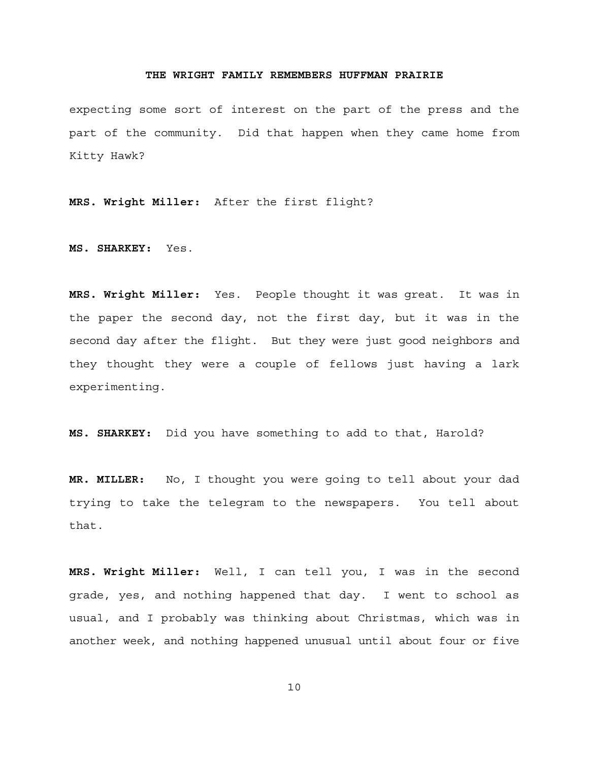expecting some sort of interest on the part of the press and the part of the community. Did that happen when they came home from Kitty Hawk?

**MRS. Wright Miller:** After the first flight?

**MS. SHARKEY:** Yes.

**MRS. Wright Miller:** Yes. People thought it was great. It was in the paper the second day, not the first day, but it was in the second day after the flight. But they were just good neighbors and they thought they were a couple of fellows just having a lark experimenting.

**MS. SHARKEY:** Did you have something to add to that, Harold?

**MR. MILLER:** No, I thought you were going to tell about your dad trying to take the telegram to the newspapers. You tell about that.

**MRS. Wright Miller:** Well, I can tell you, I was in the second grade, yes, and nothing happened that day. I went to school as usual, and I probably was thinking about Christmas, which was in another week, and nothing happened unusual until about four or five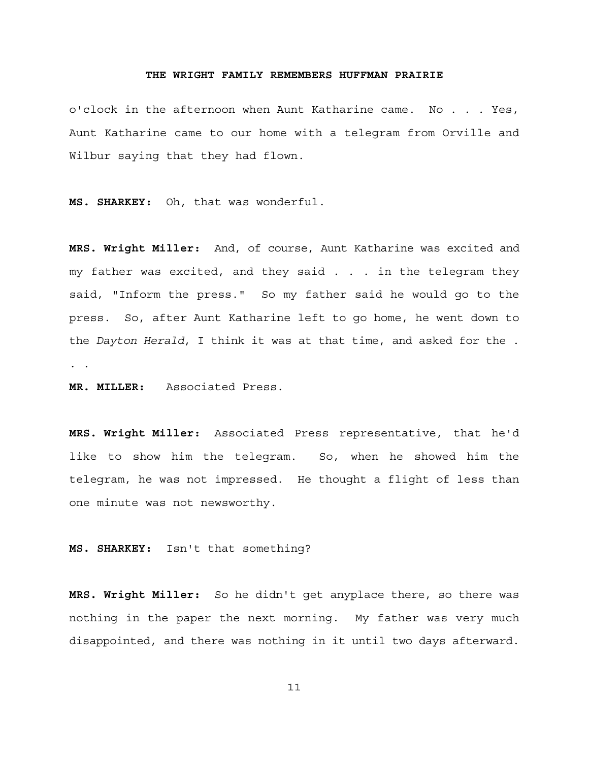o'clock in the afternoon when Aunt Katharine came. No . . . Yes, Aunt Katharine came to our home with a telegram from Orville and Wilbur saying that they had flown.

**MS. SHARKEY:** Oh, that was wonderful.

**MRS. Wright Miller:** And, of course, Aunt Katharine was excited and my father was excited, and they said . . . in the telegram they said, "Inform the press." So my father said he would go to the press. So, after Aunt Katharine left to go home, he went down to the *Dayton Herald*, I think it was at that time, and asked for the . . .

**MR. MILLER:** Associated Press.

**MRS. Wright Miller:** Associated Press representative, that he'd like to show him the telegram. So, when he showed him the telegram, he was not impressed. He thought a flight of less than one minute was not newsworthy.

**MS. SHARKEY:** Isn't that something?

**MRS. Wright Miller:** So he didn't get anyplace there, so there was nothing in the paper the next morning. My father was very much disappointed, and there was nothing in it until two days afterward.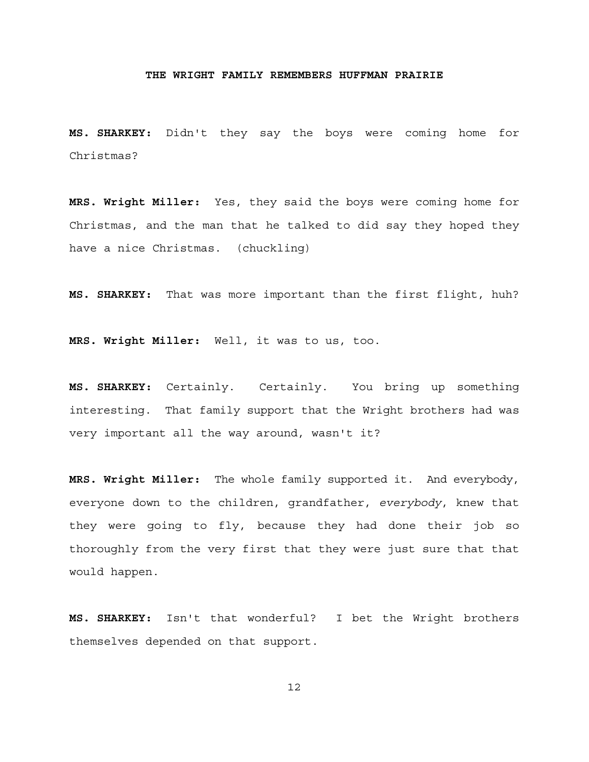**MS. SHARKEY:** Didn't they say the boys were coming home for Christmas?

**MRS. Wright Miller:** Yes, they said the boys were coming home for Christmas, and the man that he talked to did say they hoped they have a nice Christmas. (chuckling)

**MS. SHARKEY:** That was more important than the first flight, huh?

**MRS. Wright Miller:** Well, it was to us, too.

**MS. SHARKEY:** Certainly. Certainly. You bring up something interesting. That family support that the Wright brothers had was very important all the way around, wasn't it?

**MRS. Wright Miller:** The whole family supported it. And everybody, everyone down to the children, grandfather, *everybody*, knew that they were going to fly, because they had done their job so thoroughly from the very first that they were just sure that that would happen.

**MS. SHARKEY:** Isn't that wonderful? I bet the Wright brothers themselves depended on that support.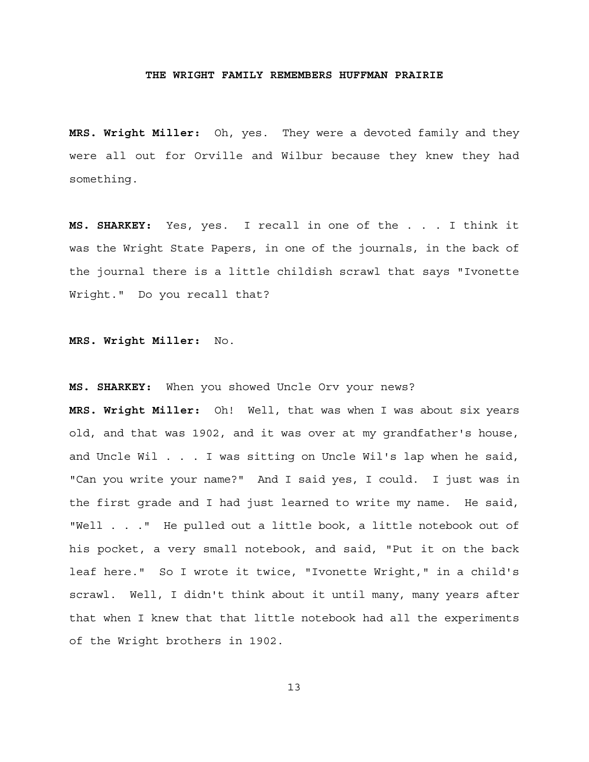**MRS. Wright Miller:** Oh, yes. They were a devoted family and they were all out for Orville and Wilbur because they knew they had something.

**MS. SHARKEY:** Yes, yes. I recall in one of the . . . I think it was the Wright State Papers, in one of the journals, in the back of the journal there is a little childish scrawl that says "Ivonette Wright." Do you recall that?

### **MRS. Wright Miller:** No.

### **MS. SHARKEY:** When you showed Uncle Orv your news?

**MRS. Wright Miller:** Oh! Well, that was when I was about six years old, and that was 1902, and it was over at my grandfather's house, and Uncle Wil . . . I was sitting on Uncle Wil's lap when he said, "Can you write your name?" And I said yes, I could. I just was in the first grade and I had just learned to write my name. He said, "Well . . ." He pulled out a little book, a little notebook out of his pocket, a very small notebook, and said, "Put it on the back leaf here." So I wrote it twice, "Ivonette Wright," in a child's scrawl. Well, I didn't think about it until many, many years after that when I knew that that little notebook had all the experiments of the Wright brothers in 1902.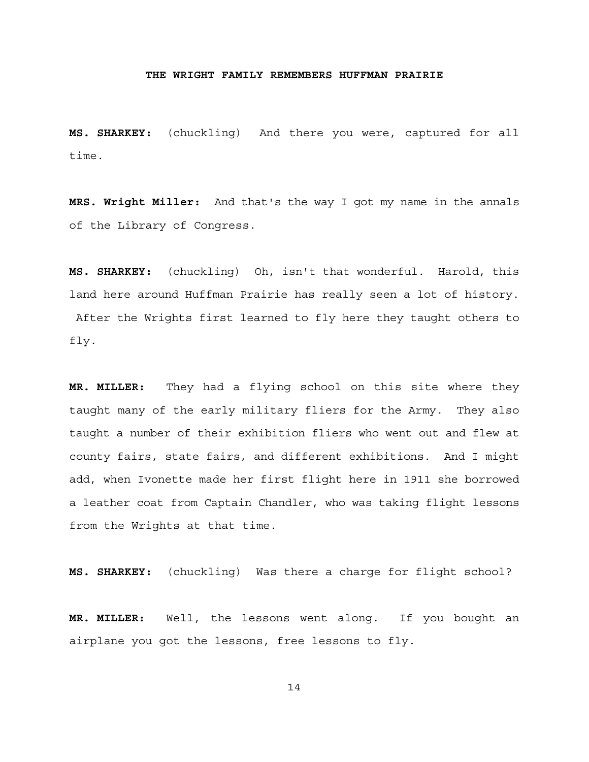**MS. SHARKEY:** (chuckling) And there you were, captured for all time.

**MRS. Wright Miller:** And that's the way I got my name in the annals of the Library of Congress.

**MS. SHARKEY:** (chuckling) Oh, isn't that wonderful. Harold, this land here around Huffman Prairie has really seen a lot of history. After the Wrights first learned to fly here they taught others to fly.

**MR. MILLER:** They had a flying school on this site where they taught many of the early military fliers for the Army. They also taught a number of their exhibition fliers who went out and flew at county fairs, state fairs, and different exhibitions. And I might add, when Ivonette made her first flight here in 1911 she borrowed a leather coat from Captain Chandler, who was taking flight lessons from the Wrights at that time.

**MS. SHARKEY:** (chuckling) Was there a charge for flight school?

**MR. MILLER:** Well, the lessons went along. If you bought an airplane you got the lessons, free lessons to fly.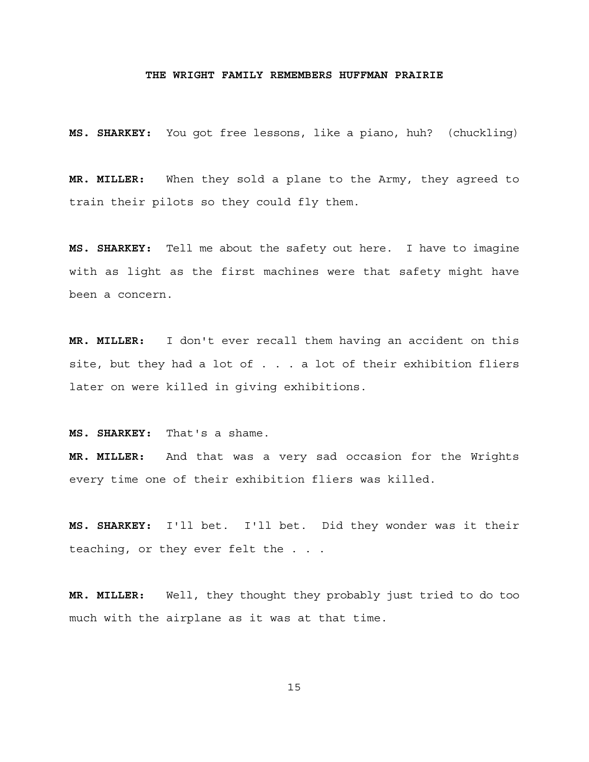**MS. SHARKEY:** You got free lessons, like a piano, huh? (chuckling)

**MR. MILLER:** When they sold a plane to the Army, they agreed to train their pilots so they could fly them.

**MS. SHARKEY:** Tell me about the safety out here. I have to imagine with as light as the first machines were that safety might have been a concern.

**MR. MILLER:** I don't ever recall them having an accident on this site, but they had a lot of . . . a lot of their exhibition fliers later on were killed in giving exhibitions.

**MS. SHARKEY:** That's a shame.

**MR. MILLER:** And that was a very sad occasion for the Wrights every time one of their exhibition fliers was killed.

**MS. SHARKEY:** I'll bet. I'll bet. Did they wonder was it their teaching, or they ever felt the . . .

**MR. MILLER:** Well, they thought they probably just tried to do too much with the airplane as it was at that time.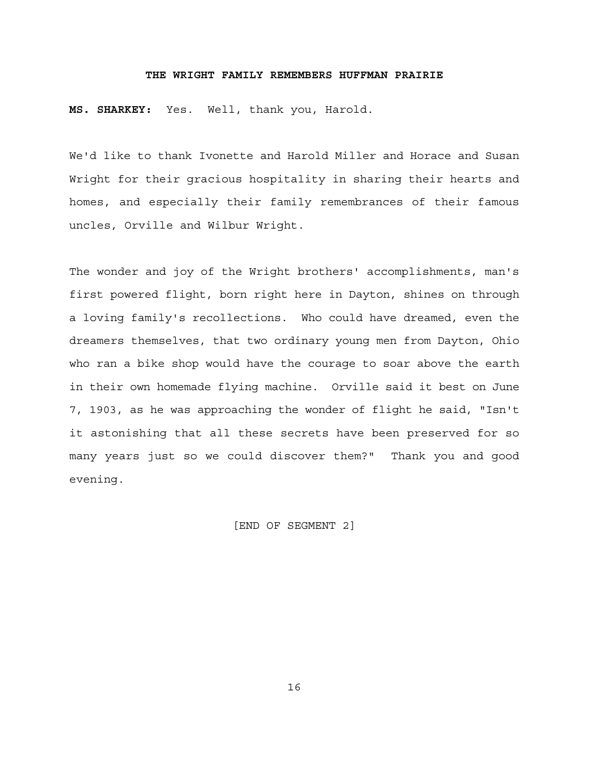**MS. SHARKEY:** Yes. Well, thank you, Harold.

We'd like to thank Ivonette and Harold Miller and Horace and Susan Wright for their gracious hospitality in sharing their hearts and homes, and especially their family remembrances of their famous uncles, Orville and Wilbur Wright.

The wonder and joy of the Wright brothers' accomplishments, man's first powered flight, born right here in Dayton, shines on through a loving family's recollections. Who could have dreamed, even the dreamers themselves, that two ordinary young men from Dayton, Ohio who ran a bike shop would have the courage to soar above the earth in their own homemade flying machine. Orville said it best on June 7, 1903, as he was approaching the wonder of flight he said, "Isn't it astonishing that all these secrets have been preserved for so many years just so we could discover them?" Thank you and good evening.

[END OF SEGMENT 2]